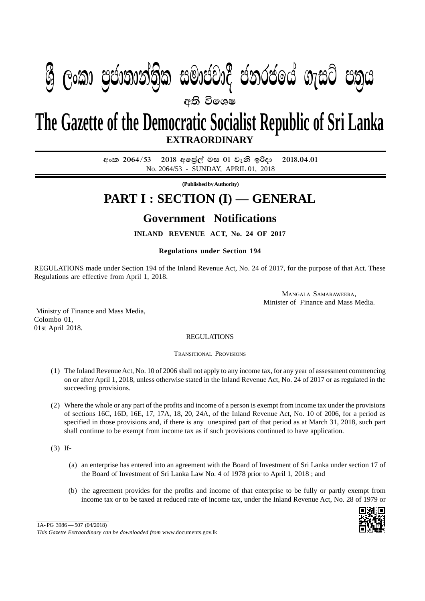## $\mathbf{P}$ අති වි**ං**ශෂ  $\mathfrak{B}$  ලංකා ප්යාතාතාත්ක සුඛයෝද යනුරියය ගැසුර යන්ෆ

## **EXTRAORDINARY The Gazette of the Democratic Socialist Republic of Sri Lanka**

අංක 2064/53 - 2018 අලේල් මස 01 වැනි ඉරිදා - 2018.04.01 No. 2064/53 - SUNDAY, APRIL 01, 2018

**(Published by Authority)**

## **PART I : SECTION (I) — GENERAL**

## **Government Notifications**

**INLAND REVENUE ACT, No. 24 OF 2017**

**Regulations under Section 194**

REGULATIONS made under Section 194 of the Inland Revenue Act, No. 24 of 2017, for the purpose of that Act. These Regulations are effective from April 1, 2018.

> MANGALA SAMARAWEERA, Minister of Finance and Mass Media.

 Ministry of Finance and Mass Media, Colombo 01, 01st April 2018.

REGULATIONS

TRANSITIONAL PROVISIONS

- (1) The Inland Revenue Act, No. 10 of 2006 shall not apply to any income tax, for any year of assessment commencing on or after April 1, 2018, unless otherwise stated in the Inland Revenue Act, No. 24 of 2017 or as regulated in the succeeding provisions.
- (2) Where the whole or any part of the profits and income of a person is exempt from income tax under the provisions of sections 16C, 16D, 16E, 17, 17A, 18, 20, 24A, of the Inland Revenue Act, No. 10 of 2006, for a period as specified in those provisions and, if there is any unexpired part of that period as at March 31, 2018, such part shall continue to be exempt from income tax as if such provisions continued to have application.

(3) If-

- (a) an enterprise has entered into an agreement with the Board of Investment of Sri Lanka under section 17 of the Board of Investment of Sri Lanka Law No. 4 of 1978 prior to April 1, 2018 ; and
- (b) the agreement provides for the profits and income of that enterprise to be fully or partly exempt from income tax or to be taxed at reduced rate of income tax, under the Inland Revenue Act, No. 28 of 1979 or



*This Gazette Extraordinary can be downloaded from* www.documents.gov.lk 1A- PG 3986 — 507 (04/2018)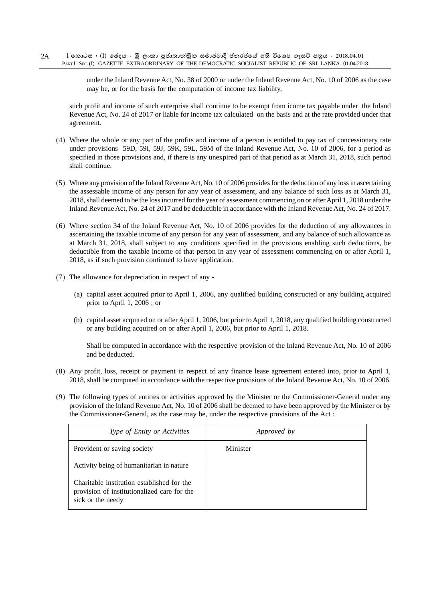under the Inland Revenue Act, No. 38 of 2000 or under the Inland Revenue Act, No. 10 of 2006 as the case may be, or for the basis for the computation of income tax liability,

such profit and income of such enterprise shall continue to be exempt from icome tax payable under the Inland Revenue Act, No. 24 of 2017 or liable for income tax calculated on the basis and at the rate provided under that agreement.

- (4) Where the whole or any part of the profits and income of a person is entitled to pay tax of concessionary rate under provisions 59D, 59I, 59J, 59K, 59L, 59M of the Inland Revenue Act, No. 10 of 2006, for a period as specified in those provisions and, if there is any unexpired part of that period as at March 31, 2018, such period shall continue.
- (5) Where any provision of the Inland Revenue Act, No. 10 of 2006 provides for the deduction of any loss in ascertaining the assessable income of any person for any year of assessment, and any balance of such loss as at March 31, 2018, shall deemed to be the loss incurred for the year of assessment commencing on or after April 1, 2018 under the Inland Revenue Act, No. 24 of 2017 and be deductible in accordance with the Inland Revenue Act, No. 24 of 2017.
- (6) Where section 34 of the Inland Revenue Act, No. 10 of 2006 provides for the deduction of any allowances in ascertaining the taxable income of any person for any year of assessment, and any balance of such allowance as at March 31, 2018, shall subject to any conditions specified in the provisions enabling such deductions, be deductible from the taxable income of that person in any year of assessment commencing on or after April 1, 2018, as if such provision continued to have application.
- (7) The allowance for depreciation in respect of any
	- (a) capital asset acquired prior to April 1, 2006, any qualified building constructed or any building acquired prior to April 1, 2006 ; or
	- (b) capital asset acquired on or after April 1, 2006, but prior to April 1, 2018, any qualified building constructed or any building acquired on or after April 1, 2006, but prior to April 1, 2018.

Shall be computed in accordance with the respective provision of the Inland Revenue Act, No. 10 of 2006 and be deducted.

- (8) Any profit, loss, receipt or payment in respect of any finance lease agreement entered into, prior to April 1, 2018, shall be computed in accordance with the respective provisions of the Inland Revenue Act, No. 10 of 2006.
- (9) The following types of entities or activities approved by the Minister or the Commissioner-General under any provision of the Inland Revenue Act, No. 10 of 2006 shall be deemed to have been approved by the Minister or by the Commissioner-General, as the case may be, under the respective provisions of the Act :

| <i>Type of Entity or Activities</i>                                                                            | <i>Approved by</i> |
|----------------------------------------------------------------------------------------------------------------|--------------------|
| Provident or saving society                                                                                    | Minister           |
| Activity being of humanitarian in nature                                                                       |                    |
| Charitable institution established for the<br>provision of institutionalized care for the<br>sick or the needy |                    |